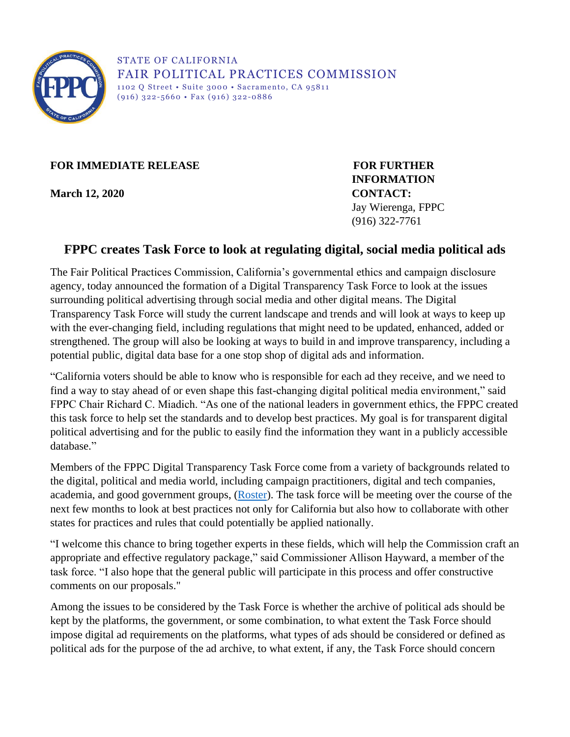

STATE OF CALIFORNIA FAIR POLITICAL PRACTICES COMMISSION 1102 Q Street • Suite 3000 • Sacramento, CA 95811  $(916)$  322-5660 • Fax  $(916)$  322-0886

**FOR IMMEDIATE RELEASE FOR FURTHER** 

**March 12, 2020 CONTACT:**

**INFORMATION**  Jay Wierenga, FPPC (916) 322-7761

## **FPPC creates Task Force to look at regulating digital, social media political ads**

The Fair Political Practices Commission, California's governmental ethics and campaign disclosure agency, today announced the formation of a Digital Transparency Task Force to look at the issues surrounding political advertising through social media and other digital means. The Digital Transparency Task Force will study the current landscape and trends and will look at ways to keep up with the ever-changing field, including regulations that might need to be updated, enhanced, added or strengthened. The group will also be looking at ways to build in and improve transparency, including a potential public, digital data base for a one stop shop of digital ads and information.

"California voters should be able to know who is responsible for each ad they receive, and we need to find a way to stay ahead of or even shape this fast-changing digital political media environment," said FPPC Chair Richard C. Miadich. "As one of the national leaders in government ethics, the FPPC created this task force to help set the standards and to develop best practices. My goal is for transparent digital political advertising and for the public to easily find the information they want in a publicly accessible database."

Members of the FPPC Digital Transparency Task Force come from a variety of backgrounds related to the digital, political and media world, including campaign practitioners, digital and tech companies, academia, and good government groups, [\(Roster\)](http://fppc.ca.gov/content/dam/fppc/NS-Documents/AgendaDocuments/Task-Force/Members.pdf). The task force will be meeting over the course of the next few months to look at best practices not only for California but also how to collaborate with other states for practices and rules that could potentially be applied nationally.

"I welcome this chance to bring together experts in these fields, which will help the Commission craft an appropriate and effective regulatory package," said Commissioner Allison Hayward, a member of the task force. "I also hope that the general public will participate in this process and offer constructive comments on our proposals."

Among the issues to be considered by the Task Force is whether the archive of political ads should be kept by the platforms, the government, or some combination, to what extent the Task Force should impose digital ad requirements on the platforms, what types of ads should be considered or defined as political ads for the purpose of the ad archive, to what extent, if any, the Task Force should concern